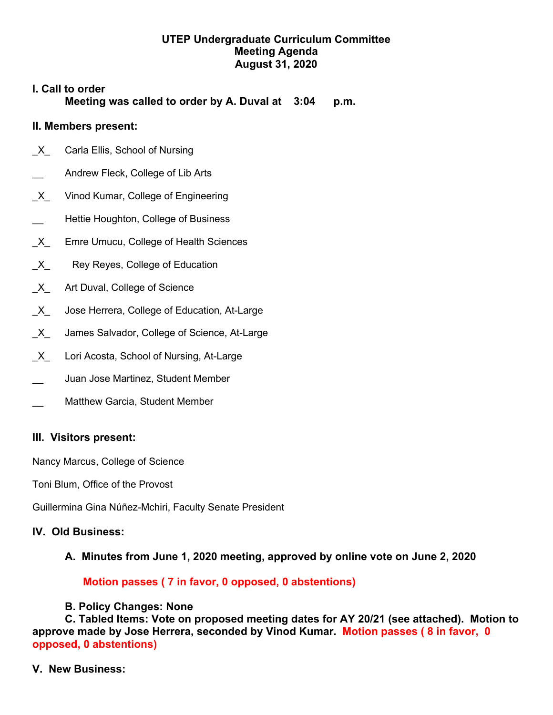## **UTEP Undergraduate Curriculum Committee Meeting Agenda August 31, 2020**

# **I. Call to order Meeting was called to order by A. Duval at 3:04 p.m.**

## **II. Members present:**

- X Carla Ellis, School of Nursing
- Andrew Fleck, College of Lib Arts
- \_X\_ Vinod Kumar, College of Engineering
- Hettie Houghton, College of Business
- X Emre Umucu, College of Health Sciences
- X Rey Reyes, College of Education
- X Art Duval, College of Science
- X Jose Herrera, College of Education, At-Large
- X James Salvador, College of Science, At-Large
- X Lori Acosta, School of Nursing, At-Large
- \_\_ Juan Jose Martinez, Student Member
- Matthew Garcia, Student Member

#### **III. Visitors present:**

Nancy Marcus, College of Science

Toni Blum, Office of the Provost

Guillermina Gina Núñez-Mchiri, Faculty Senate President

#### **IV. Old Business:**

**A. Minutes from June 1, 2020 meeting, approved by online vote on June 2, 2020**

#### **Motion passes ( 7 in favor, 0 opposed, 0 abstentions)**

#### **B. Policy Changes: None**

**C. Tabled Items: Vote on proposed meeting dates for AY 20/21 (see attached). Motion to approve made by Jose Herrera, seconded by Vinod Kumar. Motion passes ( 8 in favor, 0 opposed, 0 abstentions)**

#### **V. New Business:**